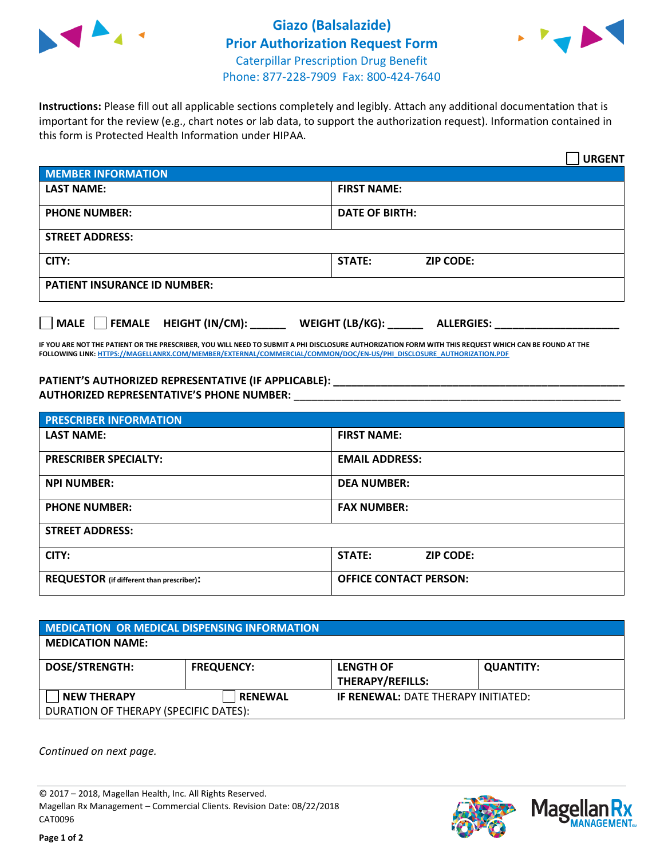



**Instructions:** Please fill out all applicable sections completely and legibly. Attach any additional documentation that is important for the review (e.g., chart notes or lab data, to support the authorization request). Information contained in this form is Protected Health Information under HIPAA.

|                                       | <b>URGENT</b>                        |  |  |  |
|---------------------------------------|--------------------------------------|--|--|--|
| <b>MEMBER INFORMATION</b>             |                                      |  |  |  |
| <b>LAST NAME:</b>                     | <b>FIRST NAME:</b>                   |  |  |  |
| <b>PHONE NUMBER:</b>                  | <b>DATE OF BIRTH:</b>                |  |  |  |
| <b>STREET ADDRESS:</b>                |                                      |  |  |  |
| CITY:                                 | <b>ZIP CODE:</b><br>STATE:           |  |  |  |
| <b>PATIENT INSURANCE ID NUMBER:</b>   |                                      |  |  |  |
| FEMALE HEIGHT (IN/CM):<br><b>MALE</b> | WEIGHT (LB/KG):<br><b>ALLERGIES:</b> |  |  |  |

**IF YOU ARE NOT THE PATIENT OR THE PRESCRIBER, YOU WILL NEED TO SUBMIT A PHI DISCLOSURE AUTHORIZATION FORM WITH THIS REQUEST WHICH CAN BE FOUND AT THE FOLLOWING LINK[: HTTPS://MAGELLANRX.COM/MEMBER/EXTERNAL/COMMERCIAL/COMMON/DOC/EN-US/PHI\\_DISCLOSURE\\_AUTHORIZATION.PDF](https://magellanrx.com/member/external/commercial/common/doc/en-us/PHI_Disclosure_Authorization.pdf)**

**PATIENT'S AUTHORIZED REPRESENTATIVE (IF APPLICABLE): \_\_\_\_\_\_\_\_\_\_\_\_\_\_\_\_\_\_\_\_\_\_\_\_\_\_\_\_\_\_\_\_\_\_\_\_\_\_\_\_\_\_\_\_\_\_\_\_\_ AUTHORIZED REPRESENTATIVE'S PHONE NUMBER:** \_\_\_\_\_\_\_\_\_\_\_\_\_\_\_\_\_\_\_\_\_\_\_\_\_\_\_\_\_\_\_\_\_\_\_\_\_\_\_\_\_\_\_\_\_\_\_\_\_\_\_\_\_\_\_

| <b>PRESCRIBER INFORMATION</b>             |                                   |  |  |  |
|-------------------------------------------|-----------------------------------|--|--|--|
| <b>LAST NAME:</b>                         | <b>FIRST NAME:</b>                |  |  |  |
| <b>PRESCRIBER SPECIALTY:</b>              | <b>EMAIL ADDRESS:</b>             |  |  |  |
| <b>NPI NUMBER:</b>                        | <b>DEA NUMBER:</b>                |  |  |  |
| <b>PHONE NUMBER:</b>                      | <b>FAX NUMBER:</b>                |  |  |  |
| <b>STREET ADDRESS:</b>                    |                                   |  |  |  |
| CITY:                                     | <b>STATE:</b><br><b>ZIP CODE:</b> |  |  |  |
| REQUESTOR (if different than prescriber): | <b>OFFICE CONTACT PERSON:</b>     |  |  |  |

| <b>MEDICATION OR MEDICAL DISPENSING INFORMATION</b> |                   |                                             |                  |  |  |
|-----------------------------------------------------|-------------------|---------------------------------------------|------------------|--|--|
| <b>MEDICATION NAME:</b>                             |                   |                                             |                  |  |  |
| <b>DOSE/STRENGTH:</b>                               | <b>FREQUENCY:</b> | <b>LENGTH OF</b><br><b>THERAPY/REFILLS:</b> | <b>QUANTITY:</b> |  |  |
| <b>NEW THERAPY</b>                                  | <b>RENEWAL</b>    | <b>IF RENEWAL: DATE THERAPY INITIATED:</b>  |                  |  |  |
| DURATION OF THERAPY (SPECIFIC DATES):               |                   |                                             |                  |  |  |

*Continued on next page.*

© 2017 – 2018, Magellan Health, Inc. All Rights Reserved. Magellan Rx Management – Commercial Clients. Revision Date: 08/22/2018 CAT0096